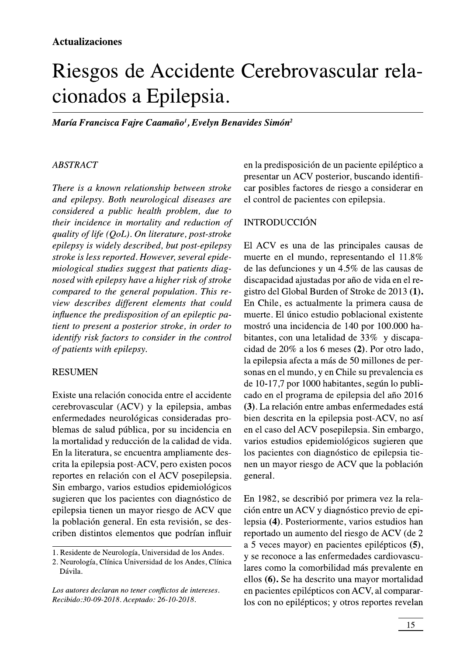# Riesgos de Accidente Cerebrovascular relacionados a Epilepsia.

María Francisca Fajre Caamaño<sup>1</sup>, Evelyn Benavides Simón<sup>2</sup>

### **ABSTRACT**

There is a known relationship between stroke and epilepsy. Both neurological diseases are considered a public health problem, due to their incidence in mortality and reduction of quality of life  $(OoL)$ . On literature, post-stroke epilepsy is widely described, but post-epilepsy stroke is less reported. However, several epidemiological studies suggest that patients diagnosed with epilepsy have a higher risk of stroke compared to the general population. This review describes different elements that could influence the predisposition of an epileptic patient to present a posterior stroke, in order to identify risk factors to consider in the control of patients with epilepsy.

#### **RESUMEN**

Existe una relación conocida entre el accidente cerebrovascular (ACV) y la epilepsia, ambas enfermedades neurológicas consideradas problemas de salud pública, por su incidencia en la mortalidad y reducción de la calidad de vida. En la literatura, se encuentra ampliamente descrita la epilepsia post-ACV, pero existen pocos reportes en relación con el ACV posepilepsia. Sin embargo, varios estudios epidemiológicos sugieren que los pacientes con diagnóstico de epilepsia tienen un mayor riesgo de ACV que la población general. En esta revisión, se describen distintos elementos que podrían influir

Los autores declaran no tener conflictos de intereses. Recibido:30-09-2018. Aceptado: 26-10-2018.

en la predisposición de un paciente epiléptico a presentar un ACV posterior, buscando identificar posibles factores de riesgo a considerar en el control de pacientes con epilepsia.

## **INTRODUCCIÓN**

El ACV es una de las principales causas de muerte en el mundo, representando el 11.8% de las defunciones y un 4.5% de las causas de discapacidad ajustadas por año de vida en el registro del Global Burden of Stroke de 2013 (1). En Chile, es actualmente la primera causa de muerte. El único estudio poblacional existente mostró una incidencia de 140 por 100.000 habitantes, con una letalidad de 33% y discapacidad de 20% a los 6 meses (2). Por otro lado, la epilepsia afecta a más de 50 millones de personas en el mundo, y en Chile su prevalencia es de 10-17,7 por 1000 habitantes, según lo publicado en el programa de epilepsia del año 2016 (3). La relación entre ambas enfermedades está bien descrita en la epilepsia post-ACV, no así en el caso del ACV posepilepsia. Sin embargo, varios estudios epidemiológicos sugieren que los pacientes con diagnóstico de epilepsia tienen un mayor riesgo de ACV que la población general.

En 1982, se describió por primera vez la relación entre un ACV y diagnóstico previo de epilepsia (4). Posteriormente, varios estudios han reportado un aumento del riesgo de ACV (de 2 a 5 veces mayor) en pacientes epilépticos (5), y se reconoce a las enfermedades cardiovasculares como la comorbilidad más prevalente en ellos (6). Se ha descrito una mayor mortalidad en pacientes epilépticos con ACV, al compararlos con no epilépticos; y otros reportes revelan

<sup>1.</sup> Residente de Neurología, Universidad de los Andes.

<sup>2.</sup> Neurología, Clínica Universidad de los Andes, Clínica Dávila.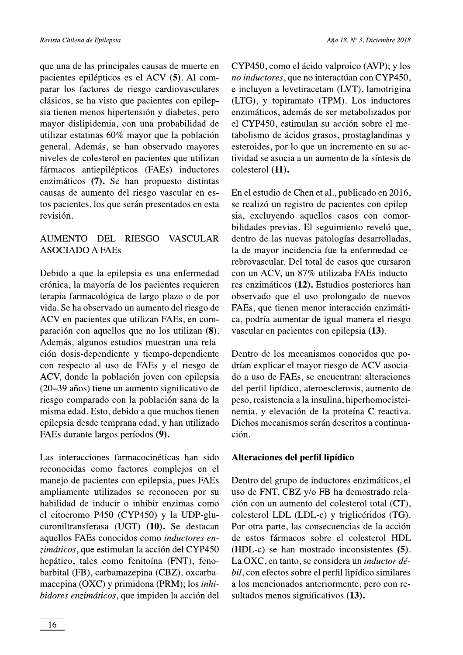que una de las principales causas de muerte en pacientes epilépticos es el ACV (5). Al comparar los factores de riesgo cardiovasculares clásicos, se ha visto que pacientes con epilepsia tienen menos hipertensión y diabetes, pero mayor dislipidemia, con una probabilidad de utilizar estatinas 60% mayor que la población general. Además, se han observado mayores niveles de colesterol en pacientes que utilizan fármacos antiepilépticos (FAEs) inductores enzimáticos (7). Se han propuesto distintas causas de aumento del riesgo vascular en estos pacientes, los que serán presentados en esta revisión.

#### AUMENTO DEL RIESGO **VASCULAR ASOCIADO A FAES**

Debido a que la epilepsia es una enfermedad crónica, la mayoría de los pacientes requieren terapia farmacológica de largo plazo o de por vida. Se ha observado un aumento del riesgo de ACV en pacientes que utilizan FAEs, en comparación con aquellos que no los utilizan (8). Además, algunos estudios muestran una relación dosis-dependiente y tiempo-dependiente con respecto al uso de FAEs y el riesgo de ACV, donde la población joven con epilepsia (20–39 años) tiene un aumento significativo de riesgo comparado con la población sana de la misma edad. Esto, debido a que muchos tienen epilepsia desde temprana edad, y han utilizado FAEs durante largos períodos (9).

Las interacciones farmacocinéticas han sido reconocidas como factores complejos en el manejo de pacientes con epilepsia, pues FAEs ampliamente utilizados se reconocen por su habilidad de inducir o inhibir enzimas como el citocromo P450 (CYP450) y la UDP-glucuroniltransferasa (UGT) (10). Se destacan aquellos FAEs conocidos como inductores enzimáticos, que estimulan la acción del CYP450 hepático, tales como fenitoína (FNT), fenobarbital (FB), carbamazepina (CBZ), oxcarbamacepina (OXC) y primidona (PRM); los *inhi*bidores enzimáticos, que impiden la acción del

CYP450, como el ácido valproico (AVP); y los no inductores, que no interactúan con CYP450, e incluyen a levetiracetam (LVT), lamotrigina (LTG), y topiramato (TPM). Los inductores enzimáticos, además de ser metabolizados por el CYP450, estimulan su acción sobre el metabolismo de ácidos grasos, prostaglandinas y esteroides, por lo que un incremento en su actividad se asocia a un aumento de la síntesis de colesterol (11).

En el estudio de Chen et al., publicado en 2016, se realizó un registro de pacientes con epilepsia, excluyendo aquellos casos con comorbilidades previas. El seguimiento reveló que, dentro de las nuevas patologías desarrolladas, la de mayor incidencia fue la enfermedad cerebrovascular. Del total de casos que cursaron con un ACV, un 87% utilizaba FAEs inductores enzimáticos (12). Estudios posteriores han observado que el uso prolongado de nuevos FAEs, que tienen menor interacción enzimática, podría aumentar de igual manera el riesgo vascular en pacientes con epilepsia (13).

Dentro de los mecanismos conocidos que podrían explicar el mayor riesgo de ACV asociado a uso de FAEs, se encuentran: alteraciones del perfil lipídico, ateroesclerosis, aumento de peso, resistencia a la insulina, hiperhomocisteinemia, y elevación de la proteína C reactiva. Dichos mecanismos serán descritos a continuación.

# Alteraciones del perfil lipídico

Dentro del grupo de inductores enzimáticos, el uso de FNT, CBZ y/o FB ha demostrado relación con un aumento del colesterol total (CT), colesterol LDL (LDL-c) y triglicéridos (TG). Por otra parte, las consecuencias de la acción de estos fármacos sobre el colesterol HDL (HDL-c) se han mostrado inconsistentes (5). La OXC, en tanto, se considera un *inductor dé*bil, con efectos sobre el perfil lipídico similares a los mencionados anteriormente, pero con resultados menos significativos (13).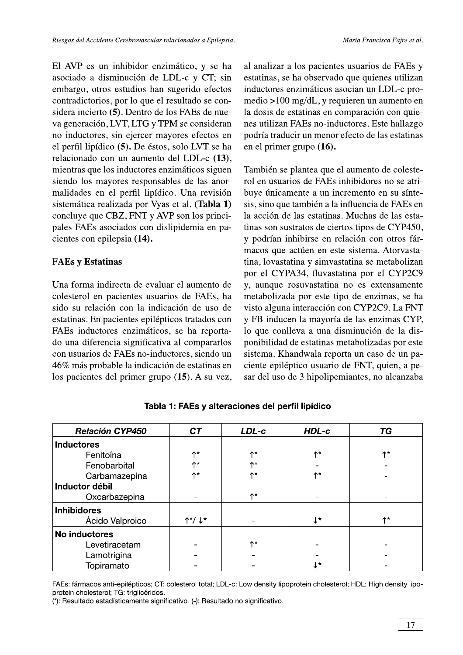El AVP es un inhibidor enzimático, y se ha asociado a disminución de LDL-c y CT; sin embargo, otros estudios han sugerido efectos contradictorios, por lo que el resultado se considera incierto (5). Dentro de los FAEs de nueva generación, LVT, LTG y TPM se consideran no inductores, sin ejercer mayores efectos en el perfil lipídico (5). De éstos, solo LVT se ha relacionado con un aumento del LDL-c (13). mientras que los inductores enzimáticos siguen siendo los mayores responsables de las anormalidades en el perfil lipídico. Una revisión sistemática realizada por Vyas et al. (Tabla 1) concluye que CBZ, FNT y AVP son los principales FAEs asociados con dislipidemia en pacientes con epilepsia (14).

## **FAEs y Estatinas**

Una forma indirecta de evaluar el aumento de colesterol en pacientes usuarios de FAEs, ha sido su relación con la indicación de uso de estatinas. En pacientes epilépticos tratados con FAEs inductores enzimáticos, se ha reportado una diferencia significativa al compararlos con usuarios de FAEs no-inductores, siendo un 46% más probable la indicación de estatinas en los pacientes del primer grupo (15). A su vez,

al analizar a los pacientes usuarios de FAEs y estatinas, se ha observado que quienes utilizan inductores enzimáticos asocian un LDL-c promedio >100 mg/dL, y requieren un aumento en la dosis de estatinas en comparación con quienes utilizan FAEs no-inductores. Este hallazgo podría traducir un menor efecto de las estatinas en el primer grupo (16).

También se plantea que el aumento de colesterol en usuarios de FAEs inhibidores no se atribuye únicamente a un incremento en su síntesis, sino que también a la influencia de FAEs en la acción de las estatinas. Muchas de las estatinas son sustratos de ciertos tipos de CYP450, y podrían inhibirse en relación con otros fármacos que actúen en este sistema. Atorvastatina, lovastatina y simvastatina se metabolizan por el CYPA34, fluvastatina por el CYP2C9 y, aunque rosuvastatina no es extensamente metabolizada por este tipo de enzimas, se ha visto alguna interacción con CYP2C9. La FNT y FB inducen la mayoría de las enzimas CYP, lo que conlleva a una disminución de la disponibilidad de estatinas metabolizadas por este sistema. Khandwala reporta un caso de un paciente epiléptico usuario de FNT, quien, a pesar del uso de 3 hipolipemiantes, no alcanzaba

| <b>Relación CYP450</b> | <b>CT</b>                             | LDL-c        | HDL-c        | TG.                |
|------------------------|---------------------------------------|--------------|--------------|--------------------|
| <b>Inductores</b>      |                                       |              |              |                    |
| Fenitoína              | $\uparrow^*$                          | ተ*           | $\uparrow^*$ | $\uparrow^*$       |
| Fenobarbital           | ሉ*                                    | ለ*           |              |                    |
| Carbamazepina          | ሉ*                                    | ↑*           | $\uparrow$   |                    |
| Inductor débil         |                                       |              |              |                    |
| Oxcarbazepina          |                                       | $\uparrow^*$ |              |                    |
| <b>Inhibidores</b>     |                                       |              |              |                    |
| Ácido Valproico        | $\uparrow^{\star}/\downarrow^{\star}$ |              | √*           | $\uparrow^{\star}$ |
| No inductores          |                                       |              |              |                    |
| Levetiracetam          |                                       | ↑*           |              |                    |
| Lamotrigina            |                                       |              |              |                    |
| Topiramato             |                                       |              | ↓*           |                    |

Tabla 1: FAEs y alteraciones del perfil lipídico

FAEs: fármacos anti-epilépticos; CT: colesterol total; LDL-c: Low density lipoprotein cholesterol; HDL: High density lipoprotein cholesterol; TG: triglicéridos.

(\*): Resultado estadísticamente significativo. (-): Resultado no significativo.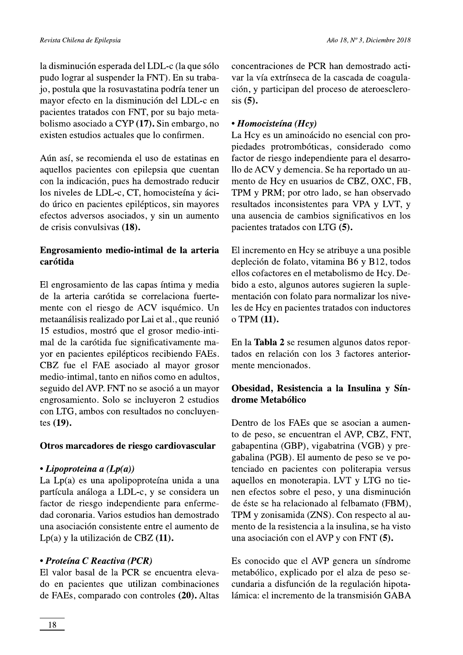la disminución esperada del LDL-c (la que sólo pudo lograr al suspender la FNT). En su trabajo, postula que la rosuvastatina podría tener un mayor efecto en la disminución del LDL-c en pacientes tratados con FNT, por su bajo metabolismo asociado a CYP (17). Sin embargo, no existen estudios actuales que lo confirmen.

Aún así, se recomienda el uso de estatinas en aquellos pacientes con epilepsia que cuentan con la indicación, pues ha demostrado reducir los niveles de LDL-c, CT, homocisteína y ácido úrico en pacientes epilépticos, sin mayores efectos adversos asociados, y sin un aumento de crisis convulsivas (18).

# Engrosamiento medio-intimal de la arteria carótida

El engrosamiento de las capas íntima y media de la arteria carótida se correlaciona fuertemente con el riesgo de ACV isquémico. Un metaanálisis realizado por Lai et al., que reunió 15 estudios, mostró que el grosor medio-intimal de la carótida fue significativamente mavor en pacientes epilépticos recibiendo FAEs. CBZ fue el FAE asociado al mayor grosor medio-intimal, tanto en niños como en adultos, seguido del AVP. FNT no se asoció a un mayor engrosamiento. Solo se incluyeron 2 estudios con LTG, ambos con resultados no concluyentes  $(19)$ .

# Otros marcadores de riesgo cardiovascular

# • Lipoproteina a  $(Lp(a))$

La  $Lp(a)$  es una apolipoproteína unida a una partícula análoga a LDL-c, y se considera un factor de riesgo independiente para enfermedad coronaria. Varios estudios han demostrado una asociación consistente entre el aumento de Lp(a) y la utilización de CBZ (11).

# • Proteína C Reactiva (PCR)

El valor basal de la PCR se encuentra elevado en pacientes que utilizan combinaciones de FAEs, comparado con controles (20). Altas concentraciones de PCR han demostrado activar la vía extrínseca de la cascada de coagulación, y participan del proceso de ateroesclero $sis(5)$ .

# • Homocisteína (Hcy)

La Hcy es un aminoácido no esencial con propiedades protrombóticas, considerado como factor de riesgo independiente para el desarrollo de ACV y demencia. Se ha reportado un aumento de Hcy en usuarios de CBZ, OXC, FB, TPM y PRM; por otro lado, se han observado resultados inconsistentes para VPA y LVT, y una ausencia de cambios significativos en los pacientes tratados con LTG (5).

El incremento en Hcy se atribuye a una posible depleción de folato, vitamina B6 y B12, todos ellos cofactores en el metabolismo de Hcy. Debido a esto, algunos autores sugieren la suplementación con folato para normalizar los niveles de Hcy en pacientes tratados con inductores o TPM (11).

En la Tabla 2 se resumen algunos datos reportados en relación con los 3 factores anteriormente mencionados.

# Obesidad, Resistencia a la Insulina y Síndrome Metabólico

Dentro de los FAEs que se asocian a aumento de peso, se encuentran el AVP, CBZ, FNT, gabapentina (GBP), vigabatrina (VGB) y pregabalina (PGB). El aumento de peso se ve potenciado en pacientes con politerapia versus aquellos en monoterapia. LVT y LTG no tienen efectos sobre el peso, y una disminución de éste se ha relacionado al felbamato (FBM), TPM y zonisamida (ZNS). Con respecto al aumento de la resistencia a la insulina, se ha visto una asociación con el AVP y con FNT (5).

Es conocido que el AVP genera un síndrome metabólico, explicado por el alza de peso secundaria a disfunción de la regulación hipotalámica: el incremento de la transmisión GABA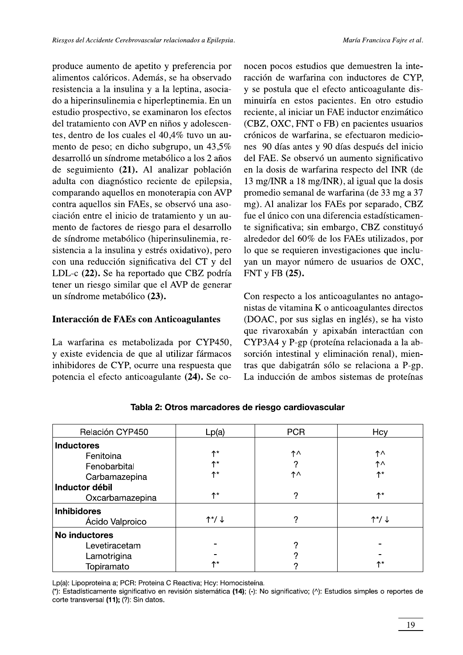produce aumento de apetito y preferencia por alimentos calóricos. Además, se ha observado resistencia a la insulina y a la leptina, asociado a hiperinsulinemia e hiperleptinemia. En un estudio prospectivo, se examinaron los efectos del tratamiento con AVP en niños y adolescentes, dentro de los cuales el 40,4% tuvo un aumento de peso; en dicho subgrupo, un 43,5% desarrolló un síndrome metabólico a los 2 años de seguimiento (21). Al analizar población adulta con diagnóstico reciente de epilepsia, comparando aquellos en monoterapia con AVP contra aquellos sin FAEs, se observó una asociación entre el inicio de tratamiento y un aumento de factores de riesgo para el desarrollo de síndrome metabólico (hiperinsulinemia, resistencia a la insulina y estrés oxidativo), pero con una reducción significativa del CT y del LDL-c (22). Se ha reportado que CBZ podría tener un riesgo similar que el AVP de generar un síndrome metabólico (23).

#### Interacción de FAEs con Anticoagulantes

La warfarina es metabolizada por CYP450, y existe evidencia de que al utilizar fármacos inhibidores de CYP, ocurre una respuesta que potencia el efecto anticoagulante (24). Se conocen pocos estudios que demuestren la interacción de warfarina con inductores de CYP, y se postula que el efecto anticoagulante disminuiría en estos pacientes. En otro estudio reciente, al iniciar un FAE inductor enzimático (CBZ, OXC, FNT o FB) en pacientes usuarios crónicos de warfarina, se efectuaron mediciones 90 días antes y 90 días después del inicio del FAE. Se observó un aumento significativo en la dosis de warfarina respecto del INR (de 13 mg/INR a 18 mg/INR), al igual que la dosis promedio semanal de warfarina (de 33 mg a 37 mg). Al analizar los FAEs por separado, CBZ fue el único con una diferencia estadísticamente significativa; sin embargo, CBZ constituyó alrededor del 60% de los FAEs utilizados, por lo que se requieren investigaciones que incluvan un mayor número de usuarios de OXC, FNT y FB (25).

Con respecto a los anticoagulantes no antagonistas de vitamina K o anticoagulantes directos (DOAC, por sus siglas en inglés), se ha visto que rivaroxabán y apixabán interactúan con CYP3A4 y P-gp (proteína relacionada a la absorción intestinal y eliminación renal), mientras que dabigatrán sólo se relaciona a P-gp. La inducción de ambos sistemas de proteínas

| Relación CYP450      | Lp(a)                         | <b>PCR</b> | Hcy                     |
|----------------------|-------------------------------|------------|-------------------------|
| <b>Inductores</b>    |                               |            |                         |
| Fenitoina            | ለ*                            | ↑∧         | ↑∧                      |
| Fenobarbital         | ለ*                            | 2          | ↑^                      |
| Carbamazepina        | ለ*                            | ↑^         | $\uparrow^{\star}$      |
| Inductor débil       |                               |            |                         |
| Oxcarbamazepina      | ለ*                            | ?          | $\uparrow^{\star}$      |
| <b>Inhibidores</b>   |                               |            |                         |
| Ácido Valproico      | $\uparrow^{\star}/\downarrow$ | ?          | $\uparrow^*/\downarrow$ |
| <b>No inductores</b> |                               |            |                         |
| Levetiracetam        |                               | റ          |                         |
| Lamotrigina          |                               |            |                         |
| Topiramato           | ₼*                            |            | $\uparrow^{\star}$      |

Tabla 2: Otros marcadores de riesgo cardiovascular

Lp(a): Lipoproteina a; PCR: Proteina C Reactiva; Hcy: Homocisteina.

(\*): Estadísticamente significativo en revisión sistemática (14); (-): No significativo; (^): Estudios simples o reportes de corte transversal (11); (?): Sin datos.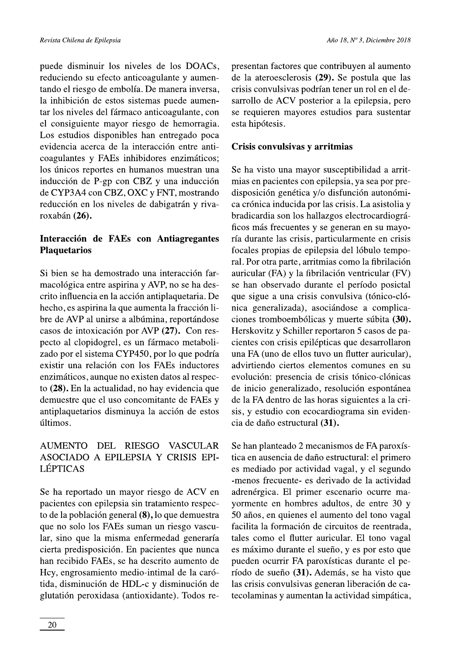puede disminuir los niveles de los DOACs, reduciendo su efecto anticoagulante y aumentando el riesgo de embolía. De manera inversa, la inhibición de estos sistemas puede aumentar los niveles del fármaco anticoagulante, con el consiguiente mayor riesgo de hemorragia. Los estudios disponibles han entregado poca evidencia acerca de la interacción entre anticoagulantes y FAEs inhibidores enzimáticos; los únicos reportes en humanos muestran una inducción de P-gp con CBZ y una inducción de CYP3A4 con CBZ, OXC y FNT, mostrando reducción en los niveles de dabigatrán y rivaroxabán (26).

# Interacción de FAEs con Antiagregantes **Plaquetarios**

Si bien se ha demostrado una interacción farmacológica entre aspirina y AVP, no se ha descrito influencia en la acción antiplaquetaria. De hecho, es aspirina la que aumenta la fracción libre de AVP al unirse a albúmina, reportándose casos de intoxicación por AVP (27). Con respecto al clopidogrel, es un fármaco metabolizado por el sistema CYP450, por lo que podría existir una relación con los FAEs inductores enzimáticos, aunque no existen datos al respecto (28). En la actualidad, no hay evidencia que demuestre que el uso concomitante de FAEs y antiplaquetarios disminuya la acción de estos últimos.

#### **AUMENTO** DEL RIESGO **VASCULAR** ASOCIADO A EPILEPSIA Y CRISIS EPI-**LÉPTICAS**

Se ha reportado un mayor riesgo de ACV en pacientes con epilepsia sin tratamiento respecto de la población general (8), lo que demuestra que no solo los FAEs suman un riesgo vascular, sino que la misma enfermedad generaría cierta predisposición. En pacientes que nunca han recibido FAEs, se ha descrito aumento de Hcy, engrosamiento medio-intimal de la carótida, disminución de HDL-c y disminución de glutatión peroxidasa (antioxidante). Todos representan factores que contribuyen al aumento de la ateroesclerosis (29). Se postula que las crisis convulsivas podrían tener un rol en el desarrollo de ACV posterior a la epilepsia, pero se requieren mayores estudios para sustentar esta hipótesis.

#### Crisis convulsivas y arritmias

Se ha visto una mayor susceptibilidad a arritmias en pacientes con epilepsia, ya sea por predisposición genética y/o disfunción autonómica crónica inducida por las crisis. La asistolia y bradicardia son los hallazgos electrocardiográficos más frecuentes y se generan en su mayoría durante las crisis, particularmente en crisis focales propias de epilepsia del lóbulo temporal. Por otra parte, arritmias como la fibrilación auricular (FA) y la fibrilación ventricular (FV) se han observado durante el período posictal que sigue a una crisis convulsiva (tónico-clónica generalizada), asociándose a complicaciones tromboembólicas y muerte súbita (30). Herskovitz y Schiller reportaron 5 casos de pacientes con crisis epilépticas que desarrollaron una FA (uno de ellos tuvo un flutter auricular), advirtiendo ciertos elementos comunes en su evolución: presencia de crisis tónico-clónicas de inicio generalizado, resolución espontánea de la FA dentro de las horas siguientes a la crisis, y estudio con ecocardiograma sin evidencia de daño estructural (31).

Se han planteado 2 mecanismos de FA paroxística en ausencia de daño estructural: el primero es mediado por actividad vagal, y el segundo -menos frecuente- es derivado de la actividad adrenérgica. El primer escenario ocurre mayormente en hombres adultos, de entre 30 y 50 años, en quienes el aumento del tono vagal facilita la formación de circuitos de reentrada. tales como el flutter auricular. El tono vagal es máximo durante el sueño, y es por esto que pueden ocurrir FA paroxísticas durante el período de sueño (31). Además, se ha visto que las crisis convulsivas generan liberación de catecolaminas y aumentan la actividad simpática,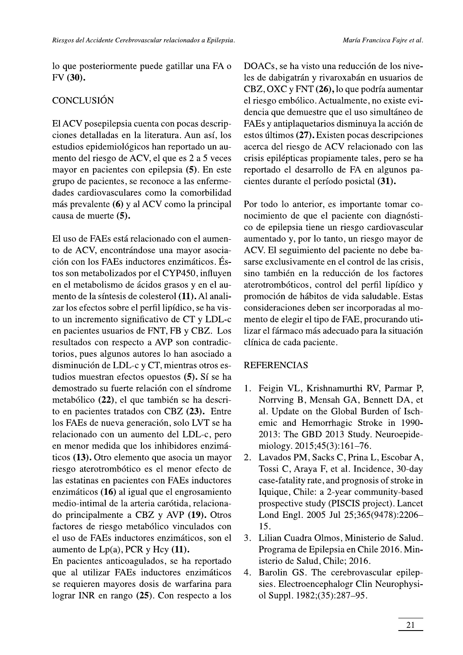María Francisca Fajre et al.

lo que posteriormente puede gatillar una FA o FV (30).

# **CONCLUSIÓN**

El ACV posepilepsia cuenta con pocas descripciones detalladas en la literatura. Aun así, los estudios epidemiológicos han reportado un aumento del riesgo de ACV, el que es 2 a 5 veces mayor en pacientes con epilepsia (5). En este grupo de pacientes, se reconoce a las enfermedades cardiovasculares como la comorbilidad más prevalente (6) y al ACV como la principal causa de muerte (5).

El uso de FAEs está relacionado con el aumento de ACV, encontrándose una mayor asociación con los FAEs inductores enzimáticos. Éstos son metabolizados por el CYP450, influyen en el metabolismo de ácidos grasos y en el aumento de la síntesis de colesterol (11). Al analizar los efectos sobre el perfil lipídico, se ha visto un incremento significativo de CT y LDL-c en pacientes usuarios de FNT, FB y CBZ. Los resultados con respecto a AVP son contradictorios, pues algunos autores lo han asociado a disminución de LDL-c y CT, mientras otros estudios muestran efectos opuestos (5). Sí se ha demostrado su fuerte relación con el síndrome metabólico (22), el que también se ha descrito en pacientes tratados con CBZ (23). Entre los FAEs de nueva generación, solo LVT se ha relacionado con un aumento del LDL-c, pero en menor medida que los inhibidores enzimáticos (13). Otro elemento que asocia un mayor riesgo aterotrombótico es el menor efecto de las estatinas en pacientes con FAEs inductores enzimáticos (16) al igual que el engrosamiento medio-intimal de la arteria carótida, relacionado principalmente a CBZ y AVP (19). Otros factores de riesgo metabólico vinculados con el uso de FAEs inductores enzimáticos, son el aumento de  $Lp(a)$ , PCR y Hcy  $(11)$ .

En pacientes anticoagulados, se ha reportado que al utilizar FAEs inductores enzimáticos se requieren mayores dosis de warfarina para lograr INR en rango (25). Con respecto a los

DOACs, se ha visto una reducción de los niveles de dabigatrán y rivaroxabán en usuarios de CBZ, OXC y FNT (26), lo que podría aumentar el riesgo embólico. Actualmente, no existe evidencia que demuestre que el uso simultáneo de FAEs y antiplaquetarios disminuya la acción de estos últimos (27). Existen pocas descripciones acerca del riesgo de ACV relacionado con las crisis epilépticas propiamente tales, pero se ha reportado el desarrollo de FA en algunos pacientes durante el período posictal (31).

Por todo lo anterior, es importante tomar conocimiento de que el paciente con diagnóstico de epilepsia tiene un riesgo cardiovascular aumentado y, por lo tanto, un riesgo mayor de ACV. El seguimiento del paciente no debe basarse exclusivamente en el control de las crisis. sino también en la reducción de los factores aterotrombóticos, control del perfil lipídico y promoción de hábitos de vida saludable. Estas consideraciones deben ser incorporadas al momento de elegir el tipo de FAE, procurando utilizar el fármaco más adecuado para la situación clínica de cada paciente.

# **REFERENCIAS**

- 1. Feigin VL, Krishnamurthi RV, Parmar P, Norrving B, Mensah GA, Bennett DA, et al. Update on the Global Burden of Ischemic and Hemorrhagic Stroke in 1990-2013: The GBD 2013 Study. Neuroepidemiology. 2015;45(3):161-76.
- 2. Lavados PM, Sacks C, Prina L, Escobar A, Tossi C, Araya F, et al. Incidence, 30-day case-fatality rate, and prognosis of stroke in Iquique, Chile: a 2-year community-based prospective study (PISCIS project). Lancet Lond Engl. 2005 Jul 25;365(9478):2206-15.
- 3. Lilian Cuadra Olmos, Ministerio de Salud. Programa de Epilepsia en Chile 2016. Ministerio de Salud, Chile; 2016.
- 4. Barolin GS. The cerebrovascular epilepsies. Electroencephalogr Clin Neurophysiol Suppl. 1982;(35):287-95.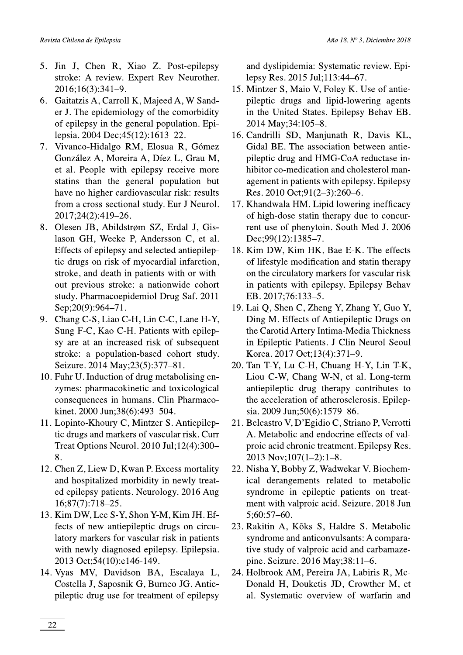- 5. Jin J, Chen R, Xiao Z. Post-epilepsy stroke: A review. Expert Rev Neurother. 2016;16(3):341-9.
- 6. Gaitatzis A, Carroll K, Majeed A, W Sander J. The epidemiology of the comorbidity of epilepsy in the general population. Epilepsia. 2004 Dec; 45(12): 1613-22.
- Vivanco-Hidalgo RM, Elosua R, Gómez 7. González A, Moreira A, Díez L, Grau M, et al. People with epilepsy receive more statins than the general population but have no higher cardiovascular risk: results from a cross-sectional study. Eur J Neurol. 2017;24(2):419-26.
- Olesen JB, Abildstrøm SZ, Erdal J, Gis-8. lason GH, Weeke P, Andersson C, et al. Effects of epilepsy and selected antiepileptic drugs on risk of myocardial infarction, stroke, and death in patients with or without previous stroke: a nationwide cohort study. Pharmacoepidemiol Drug Saf. 2011 Sep;20(9):964-71.
- 9. Chang C-S, Liao C-H, Lin C-C, Lane H-Y, Sung F-C, Kao C-H. Patients with epilepsy are at an increased risk of subsequent stroke: a population-based cohort study. Seizure. 2014 May; 23(5): 377-81.
- 10. Fuhr U. Induction of drug metabolising enzymes: pharmacokinetic and toxicological consequences in humans. Clin Pharmacokinet. 2000 Jun;38(6):493-504.
- 11. Lopinto-Khoury C, Mintzer S. Antiepileptic drugs and markers of vascular risk. Curr Treat Options Neurol. 2010 Jul;12(4):300-8.
- 12. Chen Z, Liew D, Kwan P. Excess mortality and hospitalized morbidity in newly treated epilepsy patients. Neurology. 2016 Aug  $16;87(7):718-25.$
- 13. Kim DW, Lee S-Y, Shon Y-M, Kim JH. Effects of new antiepileptic drugs on circulatory markers for vascular risk in patients with newly diagnosed epilepsy. Epilepsia. 2013 Oct;54(10):e146-149.
- 14. Vyas MV, Davidson BA, Escalaya L, Costella J, Saposnik G, Burneo JG. Antiepileptic drug use for treatment of epilepsy

and dyslipidemia: Systematic review. Epilepsy Res. 2015 Jul;113:44-67.

- 15. Mintzer S, Maio V, Foley K. Use of antiepileptic drugs and lipid-lowering agents in the United States. Epilepsy Behav EB. 2014 May; 34: 105-8.
- 16. Candrilli SD, Manjunath R, Davis KL, Gidal BE. The association between antiepileptic drug and HMG-CoA reductase inhibitor co-medication and cholesterol management in patients with epilepsy. Epilepsy Res. 2010 Oct;91(2-3):260-6.
- 17. Khandwala HM. Lipid lowering inefficacy of high-dose statin therapy due to concurrent use of phenytoin. South Med J. 2006 Dec;99(12):1385-7.
- 18. Kim DW, Kim HK, Bae E-K. The effects of lifestyle modification and statin therapy on the circulatory markers for vascular risk in patients with epilepsy. Epilepsy Behav EB. 2017;76:133-5.
- 19. Lai Q, Shen C, Zheng Y, Zhang Y, Guo Y, Ding M. Effects of Antiepileptic Drugs on the Carotid Artery Intima-Media Thickness in Epileptic Patients. J Clin Neurol Seoul Korea. 2017 Oct;13(4):371-9.
- 20. Tan T-Y, Lu C-H, Chuang H-Y, Lin T-K, Liou C-W, Chang W-N, et al. Long-term antiepileptic drug therapy contributes to the acceleration of atherosclerosis. Epilepsia. 2009 Jun;50(6):1579-86.
- 21. Belcastro V, D'Egidio C, Striano P, Verrotti A. Metabolic and endocrine effects of valproic acid chronic treatment. Epilepsy Res. 2013 Nov; 107(1-2): 1-8.
- 22. Nisha Y, Bobby Z, Wadwekar V. Biochemical derangements related to metabolic syndrome in epileptic patients on treatment with valproic acid. Seizure. 2018 Jun  $5:60:57-60.$
- 23. Rakitin A, Kõks S, Haldre S. Metabolic syndrome and anticonvulsants: A comparative study of valproic acid and carbamazepine. Seizure. 2016 May;38:11-6.
- 24. Holbrook AM, Pereira JA, Labiris R, Mc-Donald H, Douketis JD, Crowther M, et al. Systematic overview of warfarin and